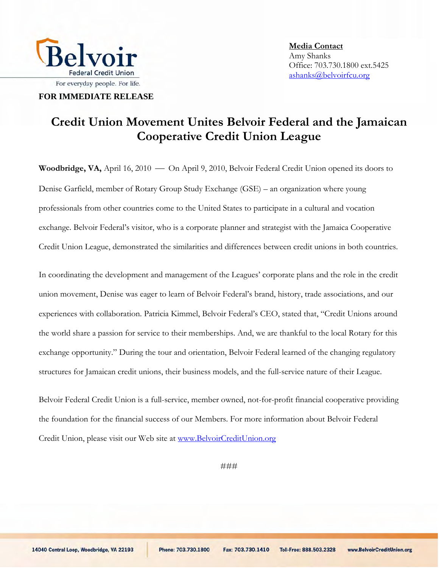

**FOR IMMEDIATE RELEASE**

## **Credit Union Movement Unites Belvoir Federal and the Jamaican Cooperative Credit Union League**

**Woodbridge, VA,** April 16, 2010 — On April 9, 2010, Belvoir Federal Credit Union opened its doors to Denise Garfield, member of Rotary Group Study Exchange (GSE) – an organization where young professionals from other countries come to the United States to participate in a cultural and vocation exchange. Belvoir Federal's visitor, who is a corporate planner and strategist with the Jamaica Cooperative Credit Union League, demonstrated the similarities and differences between credit unions in both countries.

In coordinating the development and management of the Leagues' corporate plans and the role in the credit union movement, Denise was eager to learn of Belvoir Federal's brand, history, trade associations, and our experiences with collaboration. Patricia Kimmel, Belvoir Federal's CEO, stated that, "Credit Unions around the world share a passion for service to their memberships. And, we are thankful to the local Rotary for this exchange opportunity." During the tour and orientation, Belvoir Federal learned of the changing regulatory structures for Jamaican credit unions, their business models, and the full-service nature of their League.

Belvoir Federal Credit Union is a full-service, member owned, not-for-profit financial cooperative providing the foundation for the financial success of our Members. For more information about Belvoir Federal Credit Union, please visit our Web site at [www.BelvoirCreditUnion.org](http://www.belvoircreditunion.org/)

###